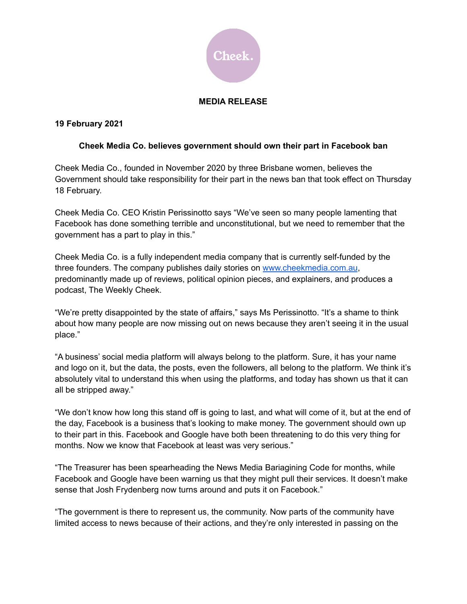

## **MEDIA RELEASE**

## **19 February 2021**

## **Cheek Media Co. believes government should own their part in Facebook ban**

Cheek Media Co., founded in November 2020 by three Brisbane women, believes the Government should take responsibility for their part in the news ban that took effect on Thursday 18 February.

Cheek Media Co. CEO Kristin Perissinotto says "We've seen so many people lamenting that Facebook has done something terrible and unconstitutional, but we need to remember that the government has a part to play in this."

Cheek Media Co. is a fully independent media company that is currently self-funded by the three founders. The company publishes daily stories on [www.cheekmedia.com.au](http://www.cheekmedia.com.au), predominantly made up of reviews, political opinion pieces, and explainers, and produces a podcast, The Weekly Cheek.

"We're pretty disappointed by the state of affairs," says Ms Perissinotto. "It's a shame to think about how many people are now missing out on news because they aren't seeing it in the usual place."

"A business' social media platform will always belong to the platform. Sure, it has your name and logo on it, but the data, the posts, even the followers, all belong to the platform. We think it's absolutely vital to understand this when using the platforms, and today has shown us that it can all be stripped away."

"We don't know how long this stand off is going to last, and what will come of it, but at the end of the day, Facebook is a business that's looking to make money. The government should own up to their part in this. Facebook and Google have both been threatening to do this very thing for months. Now we know that Facebook at least was very serious."

"The Treasurer has been spearheading the News Media Bariagining Code for months, while Facebook and Google have been warning us that they might pull their services. It doesn't make sense that Josh Frydenberg now turns around and puts it on Facebook."

"The government is there to represent us, the community. Now parts of the community have limited access to news because of their actions, and they're only interested in passing on the